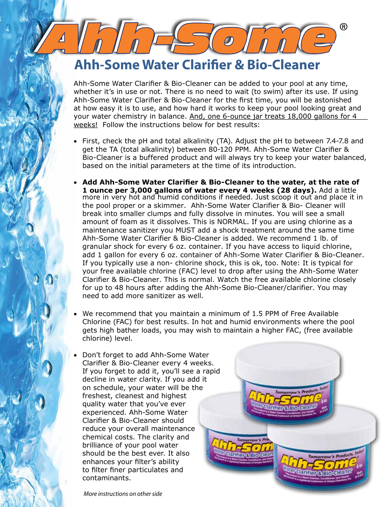## **Ahh-Some Water Clarifier & Bio-Cleaner**

Ahh-Some Water Clarifier & Bio-Cleaner can be added to your pool at any time, whether it's in use or not. There is no need to wait (to swim) after its use. If using Ahh-Some Water Clarifier & Bio-Cleaner for the first time, you will be astonished at how easy it is to use, and how hard it works to keep your pool looking great and your water chemistry in balance. And, one 6-ounce jar treats 18,000 gallons for 4 weeks! Follow the instructions below for best results:

- First, check the pH and total alkalinity (TA). Adjust the pH to between 7.4-7.8 and get the TA (total alkalinity) between 80-120 PPM. Ahh-Some Water Clarifier & Bio-Cleaner is a buffered product and will always try to keep your water balanced, based on the initial parameters at the time of its introduction.
- Add Ahh-Some Water Clarifier & Bio-Cleaner to the water, at the rate of 1 ounce per 3,000 gallons of water every 4 weeks (28 days). Add a little more in very hot and humid conditions if needed. Just scoop it out and place it in the pool proper or a skimmer. Ahh-Some Water Clarifier & Bio- Cleaner will break into smaller clumps and fully dissolve in minutes. You will see a small amount of foam as it dissolves. This is NORMAL. If you are using chlorine as a maintenance sanitizer you MUST add a shock treatment around the same time Ahh-Some Water Clarifier & Bio-Cleaner is added. We recommend 1 lb. of granular shock for every 6 oz. container. If you have access to liquid chlorine, add 1 gallon for every 6 oz. container of Ahh-Some Water Clarifier & Bio-Cleaner. If you typically use a non- chlorine shock, this is ok, too. Note: It is typical for your free available chlorine (FAC) level to drop after using the Ahh-Some Water Clarifier & Bio-Cleaner. This is normal. Watch the free available chlorine closely for up to 48 hours after adding the Ahh-Some Bio-Cleaner/clarifier. You may need to add more sanitizer as well.
- We recommend that you maintain a minimum of 1.5 PPM of Free Available Chlorine (FAC) for best results. In hot and humid environments where the pool gets high bather loads, you may wish to maintain a higher FAC, (free available chlorine) level.
- Don't forget to add Ahh-Some Water Clarifier & Bio-Cleaner every 4 weeks. If you forget to add it, you'll see a rapid decline in water clarity. If you add it on schedule, your water will be the freshest, cleanest and highest quality water that you've ever experienced. Ahh-Some Water Clarifier & Bio-Cleaner should reduce your overall maintenance chemical costs. The clarity and brilliance of your pool water should be the best ever. It also enhances your filter's ability to filter finer particulates and contaminants.



®

More instructions on other side